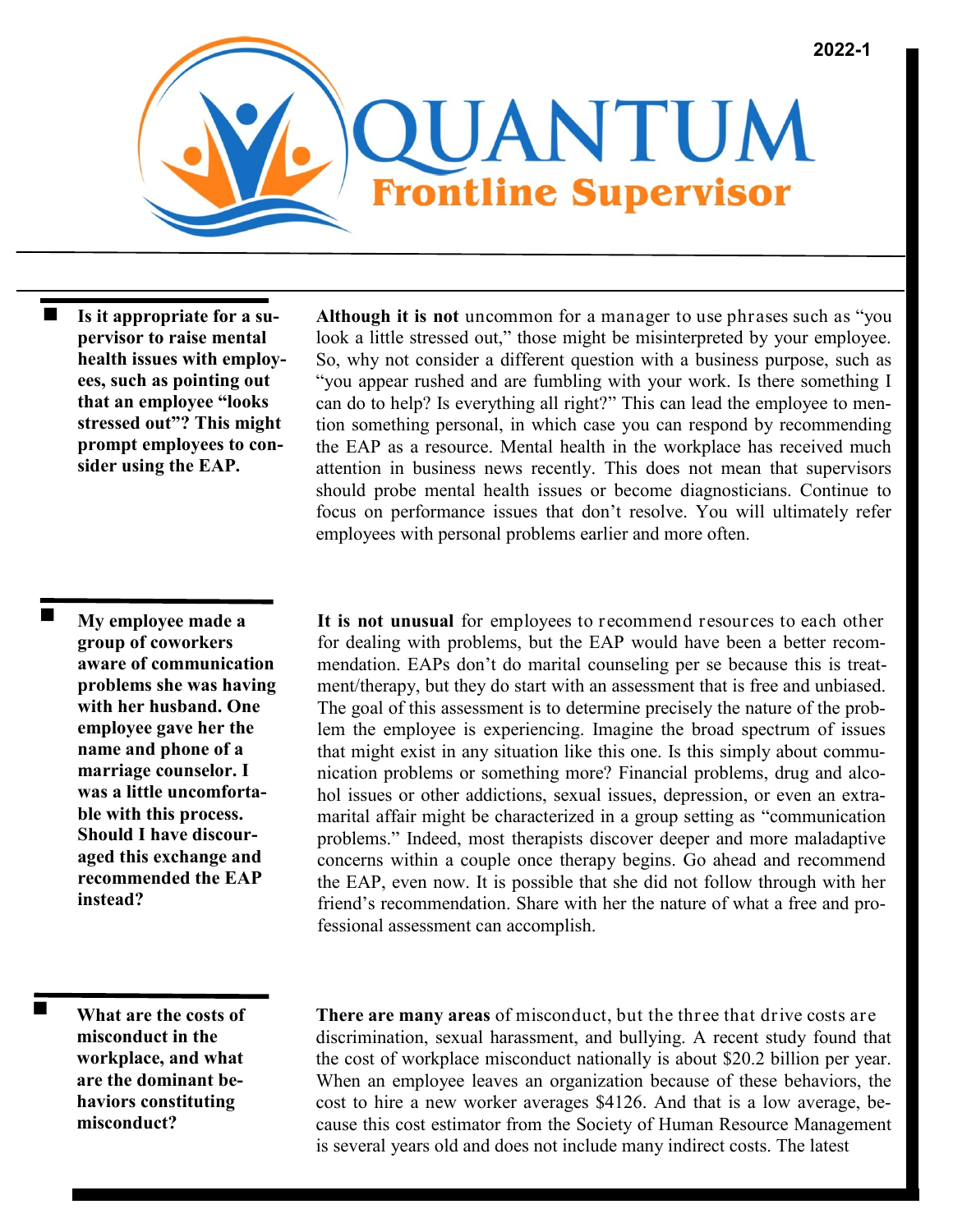

**Is it appropriate for a supervisor to raise mental health issues with employees, such as pointing out that an employee "looks stressed out"? This might prompt employees to consider using the EAP.**

**My employee made a group of coworkers aware of communication problems she was having with her husband. One employee gave her the name and phone of a marriage counselor. I was a little uncomfortable with this process. Should I have discouraged this exchange and recommended the EAP instead?**

 $\blacksquare$ 

**Although it is not** uncommon for a manager to use phrases such as "you look a little stressed out," those might be misinterpreted by your employee. So, why not consider a different question with a business purpose, such as "you appear rushed and are fumbling with your work. Is there something I can do to help? Is everything all right?" This can lead the employee to mention something personal, in which case you can respond by recommending the EAP as a resource. Mental health in the workplace has received much attention in business news recently. This does not mean that supervisors should probe mental health issues or become diagnosticians. Continue to focus on performance issues that don't resolve. You will ultimately refer employees with personal problems earlier and more often.

**It is not unusual** for employees to recommend resources to each other for dealing with problems, but the EAP would have been a better recommendation. EAPs don't do marital counseling per se because this is treatment/therapy, but they do start with an assessment that is free and unbiased. The goal of this assessment is to determine precisely the nature of the problem the employee is experiencing. Imagine the broad spectrum of issues that might exist in any situation like this one. Is this simply about communication problems or something more? Financial problems, drug and alcohol issues or other addictions, sexual issues, depression, or even an extramarital affair might be characterized in a group setting as "communication problems." Indeed, most therapists discover deeper and more maladaptive concerns within a couple once therapy begins. Go ahead and recommend the EAP, even now. It is possible that she did not follow through with her friend's recommendation. Share with her the nature of what a free and professional assessment can accomplish.

**What are the costs of misconduct in the workplace, and what are the dominant behaviors constituting misconduct?**

**There are many areas** of misconduct, but the three that drive costs are discrimination, sexual harassment, and bullying. A recent study found that the cost of workplace misconduct nationally is about \$20.2 billion per year. When an employee leaves an organization because of these behaviors, the cost to hire a new worker averages \$4126. And that is a low average, because this cost estimator from the Society of Human Resource Management is several years old and does not include many indirect costs. The latest